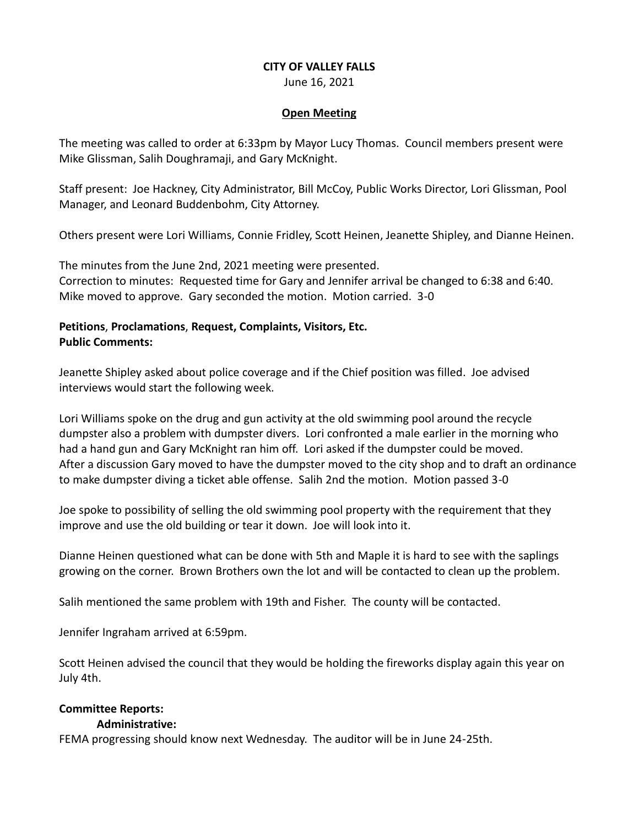#### **CITY OF VALLEY FALLS**

June 16, 2021

#### **Open Meeting**

The meeting was called to order at 6:33pm by Mayor Lucy Thomas. Council members present were Mike Glissman, Salih Doughramaji, and Gary McKnight.

Staff present: Joe Hackney, City Administrator, Bill McCoy, Public Works Director, Lori Glissman, Pool Manager, and Leonard Buddenbohm, City Attorney.

Others present were Lori Williams, Connie Fridley, Scott Heinen, Jeanette Shipley, and Dianne Heinen.

The minutes from the June 2nd, 2021 meeting were presented. Correction to minutes: Requested time for Gary and Jennifer arrival be changed to 6:38 and 6:40. Mike moved to approve. Gary seconded the motion. Motion carried. 3-0

## **Petitions**, **Proclamations**, **Request, Complaints, Visitors, Etc. Public Comments:**

Jeanette Shipley asked about police coverage and if the Chief position was filled. Joe advised interviews would start the following week.

Lori Williams spoke on the drug and gun activity at the old swimming pool around the recycle dumpster also a problem with dumpster divers. Lori confronted a male earlier in the morning who had a hand gun and Gary McKnight ran him off. Lori asked if the dumpster could be moved. After a discussion Gary moved to have the dumpster moved to the city shop and to draft an ordinance to make dumpster diving a ticket able offense. Salih 2nd the motion. Motion passed 3-0

Joe spoke to possibility of selling the old swimming pool property with the requirement that they improve and use the old building or tear it down. Joe will look into it.

Dianne Heinen questioned what can be done with 5th and Maple it is hard to see with the saplings growing on the corner. Brown Brothers own the lot and will be contacted to clean up the problem.

Salih mentioned the same problem with 19th and Fisher. The county will be contacted.

Jennifer Ingraham arrived at 6:59pm.

Scott Heinen advised the council that they would be holding the fireworks display again this year on July 4th.

# **Committee Reports:**

#### **Administrative:**

FEMA progressing should know next Wednesday. The auditor will be in June 24-25th.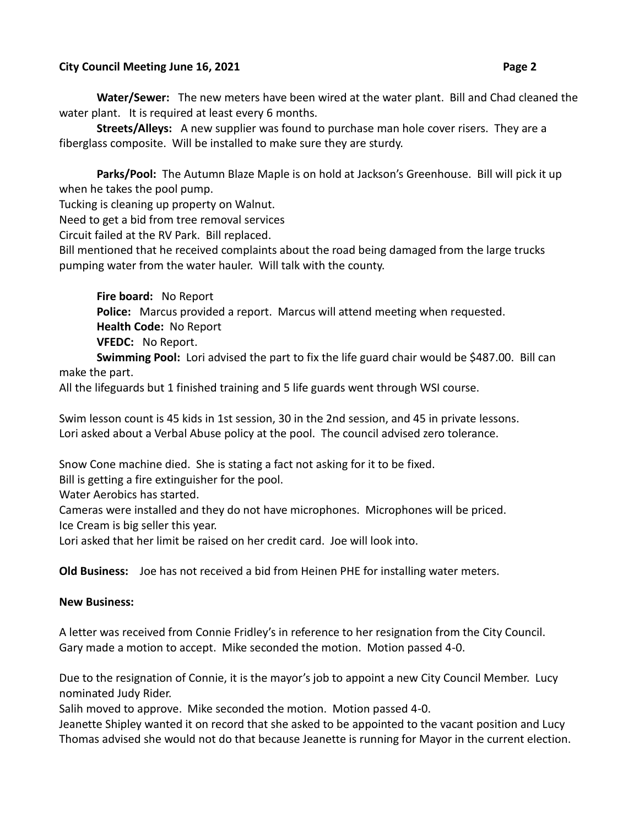#### **City Council Meeting June 16, 2021 Page 2**

**Water/Sewer:** The new meters have been wired at the water plant. Bill and Chad cleaned the water plant. It is required at least every 6 months.

**Streets/Alleys:** A new supplier was found to purchase man hole cover risers. They are a fiberglass composite. Will be installed to make sure they are sturdy.

**Parks/Pool:** The Autumn Blaze Maple is on hold at Jackson's Greenhouse. Bill will pick it up when he takes the pool pump.

Tucking is cleaning up property on Walnut.

Need to get a bid from tree removal services

Circuit failed at the RV Park. Bill replaced.

Bill mentioned that he received complaints about the road being damaged from the large trucks pumping water from the water hauler. Will talk with the county.

**Fire board:** No Report **Police:** Marcus provided a report. Marcus will attend meeting when requested. **Health Code:** No Report **VFEDC:** No Report.

**Swimming Pool:** Lori advised the part to fix the life guard chair would be \$487.00. Bill can make the part.

All the lifeguards but 1 finished training and 5 life guards went through WSI course.

Swim lesson count is 45 kids in 1st session, 30 in the 2nd session, and 45 in private lessons. Lori asked about a Verbal Abuse policy at the pool. The council advised zero tolerance.

Snow Cone machine died. She is stating a fact not asking for it to be fixed.

Bill is getting a fire extinguisher for the pool.

Water Aerobics has started.

Cameras were installed and they do not have microphones. Microphones will be priced. Ice Cream is big seller this year.

Lori asked that her limit be raised on her credit card. Joe will look into.

**Old Business:** Joe has not received a bid from Heinen PHE for installing water meters.

#### **New Business:**

A letter was received from Connie Fridley's in reference to her resignation from the City Council. Gary made a motion to accept. Mike seconded the motion. Motion passed 4-0.

Due to the resignation of Connie, it is the mayor's job to appoint a new City Council Member. Lucy nominated Judy Rider.

Salih moved to approve. Mike seconded the motion. Motion passed 4-0.

Jeanette Shipley wanted it on record that she asked to be appointed to the vacant position and Lucy Thomas advised she would not do that because Jeanette is running for Mayor in the current election.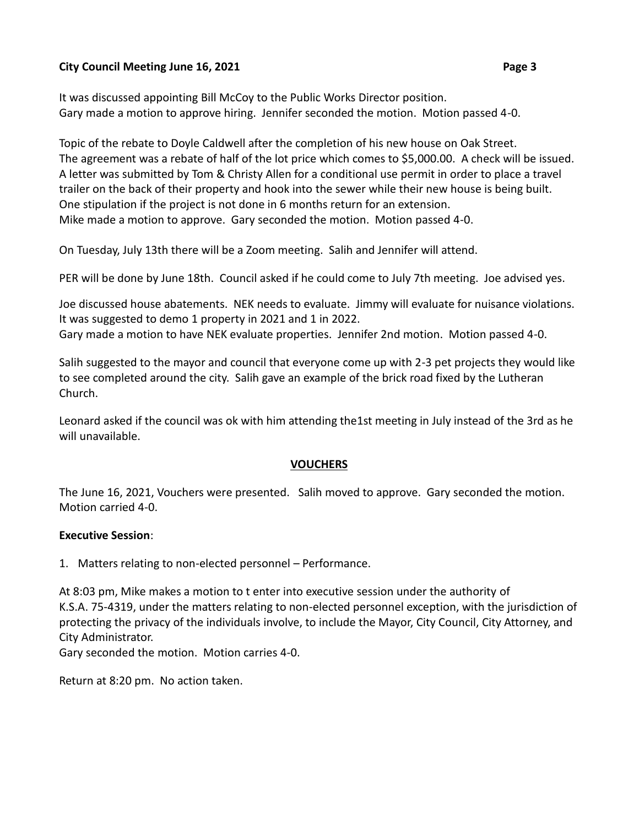## **City Council Meeting June 16, 2021 Page 3**

It was discussed appointing Bill McCoy to the Public Works Director position. Gary made a motion to approve hiring. Jennifer seconded the motion. Motion passed 4-0.

Topic of the rebate to Doyle Caldwell after the completion of his new house on Oak Street. The agreement was a rebate of half of the lot price which comes to \$5,000.00. A check will be issued. A letter was submitted by Tom & Christy Allen for a conditional use permit in order to place a travel trailer on the back of their property and hook into the sewer while their new house is being built. One stipulation if the project is not done in 6 months return for an extension. Mike made a motion to approve. Gary seconded the motion. Motion passed 4-0.

On Tuesday, July 13th there will be a Zoom meeting. Salih and Jennifer will attend.

PER will be done by June 18th. Council asked if he could come to July 7th meeting. Joe advised yes.

Joe discussed house abatements. NEK needs to evaluate. Jimmy will evaluate for nuisance violations. It was suggested to demo 1 property in 2021 and 1 in 2022.

Gary made a motion to have NEK evaluate properties. Jennifer 2nd motion. Motion passed 4-0.

Salih suggested to the mayor and council that everyone come up with 2-3 pet projects they would like to see completed around the city. Salih gave an example of the brick road fixed by the Lutheran Church.

Leonard asked if the council was ok with him attending the1st meeting in July instead of the 3rd as he will unavailable.

## **VOUCHERS**

The June 16, 2021, Vouchers were presented. Salih moved to approve. Gary seconded the motion. Motion carried 4-0.

## **Executive Session**:

1. Matters relating to non-elected personnel – Performance.

At 8:03 pm, Mike makes a motion to t enter into executive session under the authority of K.S.A. 75-4319, under the matters relating to non-elected personnel exception, with the jurisdiction of protecting the privacy of the individuals involve, to include the Mayor, City Council, City Attorney, and City Administrator.

Gary seconded the motion. Motion carries 4-0.

Return at 8:20 pm. No action taken.